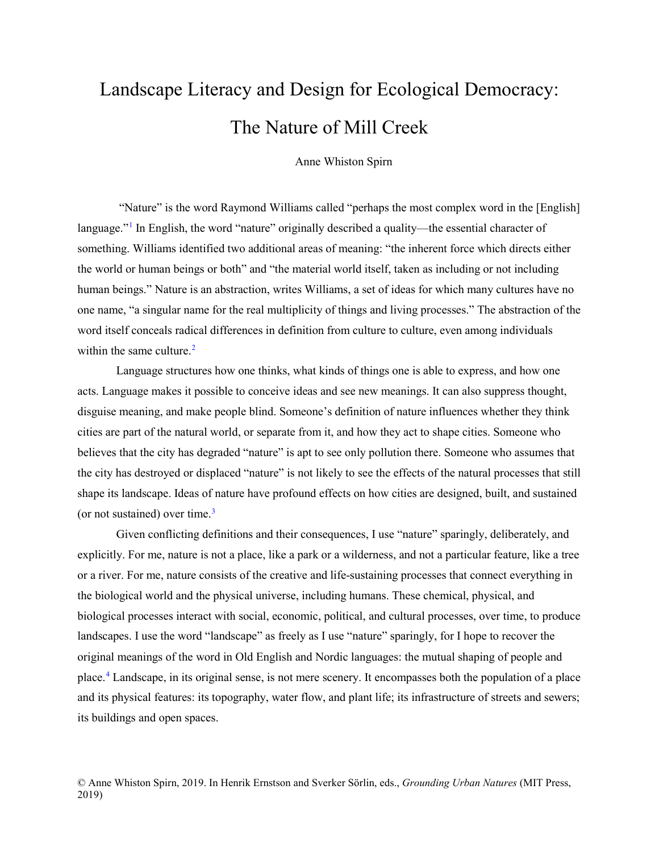# Landscape Literacy and Design for Ecological Democracy: The Nature of Mill Creek

Anne Whiston Spirn

"Nature" is the word Raymond Williams called "perhaps the most complex word in the [English] language."[1](#page-18-0) In English, the word "nature" originally described a quality—the essential character of something. Williams identified two additional areas of meaning: "the inherent force which directs either the world or human beings or both" and "the material world itself, taken as including or not including human beings." Nature is an abstraction, writes Williams, a set of ideas for which many cultures have no one name, "a singular name for the real multiplicity of things and living processes." The abstraction of the word itself conceals radical differences in definition from culture to culture, even among individuals within the same culture. $2$ 

Language structures how one thinks, what kinds of things one is able to express, and how one acts. Language makes it possible to conceive ideas and see new meanings. It can also suppress thought, disguise meaning, and make people blind. Someone's definition of nature influences whether they think cities are part of the natural world, or separate from it, and how they act to shape cities. Someone who believes that the city has degraded "nature" is apt to see only pollution there. Someone who assumes that the city has destroyed or displaced "nature" is not likely to see the effects of the natural processes that still shape its landscape. Ideas of nature have profound effects on how cities are designed, built, and sustained (or not sustained) over time.<sup>[3](#page-19-0)</sup>

Given conflicting definitions and their consequences, I use "nature" sparingly, deliberately, and explicitly. For me, nature is not a place, like a park or a wilderness, and not a particular feature, like a tree or a river. For me, nature consists of the creative and life-sustaining processes that connect everything in the biological world and the physical universe, including humans. These chemical, physical, and biological processes interact with social, economic, political, and cultural processes, over time, to produce landscapes. I use the word "landscape" as freely as I use "nature" sparingly, for I hope to recover the original meanings of the word in Old English and Nordic languages: the mutual shaping of people and place.[4](#page-19-1) Landscape, in its original sense, is not mere scenery. It encompasses both the population of a place and its physical features: its topography, water flow, and plant life; its infrastructure of streets and sewers; its buildings and open spaces.

© Anne Whiston Spirn, 2019. In Henrik Ernstson and Sverker Sörlin, eds., *Grounding Urban Natures* (MIT Press, 2019)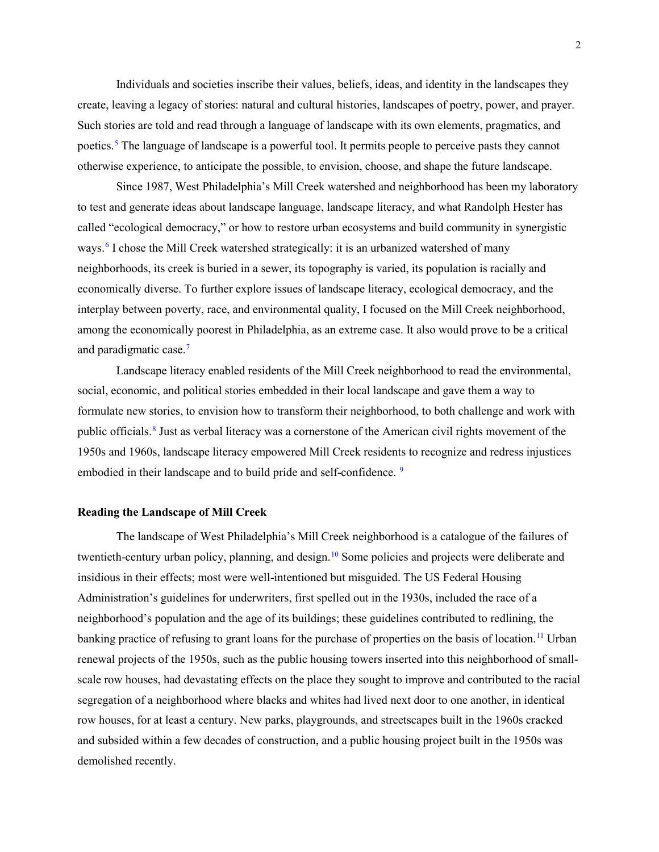Individuals and societies inscribe their values, beliefs, ideas, and identity in the landscapes they create, leaving a legacy of stories: natural and cultural histories, landscapes of poetry, power, and prayer. Such stories are told and read through a language of landscape with its own elements, pragmatics, and poetics[.5](#page-19-2) The language of landscape is a powerful tool. It permits people to perceive pasts they cannot otherwise experience, to anticipate the possible, to envision, choose, and shape the future landscape.

Since 1987, West Philadelphia's Mill Creek watershed and neighborhood has been my laboratory to test and generate ideas about landscape language, landscape literacy, and what Randolph Hester has called "ecological democracy," or how to restore urban ecosystems and build community in synergistic ways.<sup>[6](#page-19-3)</sup> I chose the Mill Creek watershed strategically: it is an urbanized watershed of many neighborhoods, its creek is buried in a sewer, its topography is varied, its population is racially and economically diverse. To further explore issues of landscape literacy, ecological democracy, and the interplay between poverty, race, and environmental quality, I focused on the Mill Creek neighborhood, among the economically poorest in Philadelphia, as an extreme case. It also would prove to be a critical and paradigmatic case.[7](#page-19-4)

Landscape literacy enabled residents of the Mill Creek neighborhood to read the environmental, social, economic, and political stories embedded in their local landscape and gave them a way to formulate new stories, to envision how to transform their neighborhood, to both challenge and work with public officials.[8](#page-19-5) Just as verbal literacy was a cornerstone of the American civil rights movement of the 1950s and 1960s, landscape literacy empowered Mill Creek residents to recognize and redress injustices embodied in their landscape and to build pride and self-confidence.<sup>[9](#page-19-6)</sup>

#### **Reading the Landscape of Mill Creek**

The landscape of West Philadelphia's Mill Creek neighborhood is a catalogue of the failures of twentieth-century urban policy, planning, and design.<sup>[10](#page-19-7)</sup> Some policies and projects were deliberate and insidious in their effects; most were well-intentioned but misguided. The US Federal Housing Administration's guidelines for underwriters, first spelled out in the 1930s, included the race of a neighborhood's population and the age of its buildings; these guidelines contributed to redlining, the banking practice of refusing to grant loans for the purchase of properties on the basis of location.<sup>[11](#page-19-8)</sup> Urban renewal projects of the 1950s, such as the public housing towers inserted into this neighborhood of smallscale row houses, had devastating effects on the place they sought to improve and contributed to the racial segregation of a neighborhood where blacks and whites had lived next door to one another, in identical row houses, for at least a century. New parks, playgrounds, and streetscapes built in the 1960s cracked and subsided within a few decades of construction, and a public housing project built in the 1950s was demolished recently.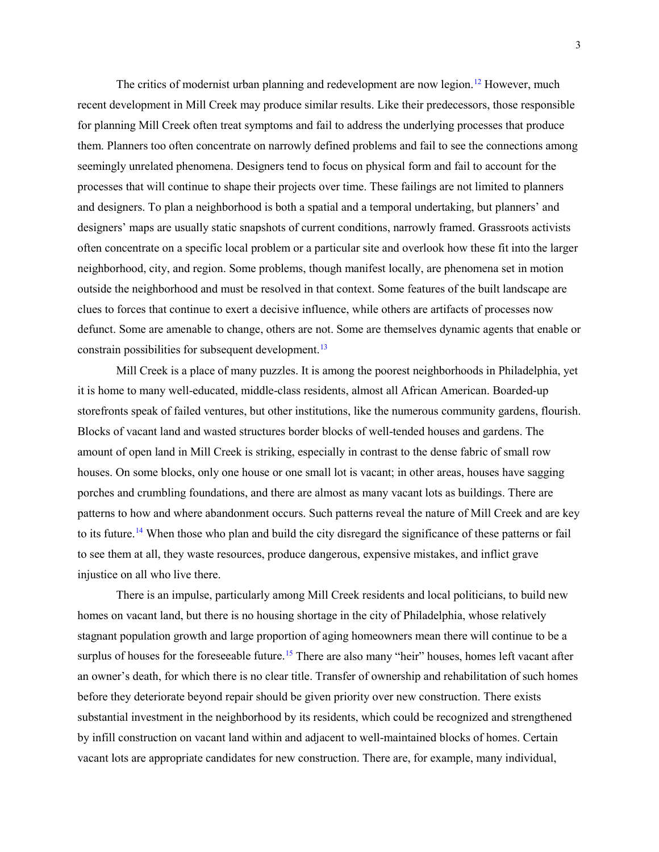The critics of modernist urban planning and redevelopment are now legion.<sup>[12](#page-19-9)</sup> However, much recent development in Mill Creek may produce similar results. Like their predecessors, those responsible for planning Mill Creek often treat symptoms and fail to address the underlying processes that produce them. Planners too often concentrate on narrowly defined problems and fail to see the connections among seemingly unrelated phenomena. Designers tend to focus on physical form and fail to account for the processes that will continue to shape their projects over time. These failings are not limited to planners and designers. To plan a neighborhood is both a spatial and a temporal undertaking, but planners' and designers' maps are usually static snapshots of current conditions, narrowly framed. Grassroots activists often concentrate on a specific local problem or a particular site and overlook how these fit into the larger neighborhood, city, and region. Some problems, though manifest locally, are phenomena set in motion outside the neighborhood and must be resolved in that context. Some features of the built landscape are clues to forces that continue to exert a decisive influence, while others are artifacts of processes now defunct. Some are amenable to change, others are not. Some are themselves dynamic agents that enable or constrain possibilities for subsequent development.<sup>[13](#page-20-0)</sup>

Mill Creek is a place of many puzzles. It is among the poorest neighborhoods in Philadelphia, yet it is home to many well-educated, middle-class residents, almost all African American. Boarded-up storefronts speak of failed ventures, but other institutions, like the numerous community gardens, flourish. Blocks of vacant land and wasted structures border blocks of well-tended houses and gardens. The amount of open land in Mill Creek is striking, especially in contrast to the dense fabric of small row houses. On some blocks, only one house or one small lot is vacant; in other areas, houses have sagging porches and crumbling foundations, and there are almost as many vacant lots as buildings. There are patterns to how and where abandonment occurs. Such patterns reveal the nature of Mill Creek and are key to its future.[14](#page-20-1) When those who plan and build the city disregard the significance of these patterns or fail to see them at all, they waste resources, produce dangerous, expensive mistakes, and inflict grave injustice on all who live there.

There is an impulse, particularly among Mill Creek residents and local politicians, to build new homes on vacant land, but there is no housing shortage in the city of Philadelphia, whose relatively stagnant population growth and large proportion of aging homeowners mean there will continue to be a surplus of houses for the foreseeable future.<sup>[15](#page-20-2)</sup> There are also many "heir" houses, homes left vacant after an owner's death, for which there is no clear title. Transfer of ownership and rehabilitation of such homes before they deteriorate beyond repair should be given priority over new construction. There exists substantial investment in the neighborhood by its residents, which could be recognized and strengthened by infill construction on vacant land within and adjacent to well-maintained blocks of homes. Certain vacant lots are appropriate candidates for new construction. There are, for example, many individual,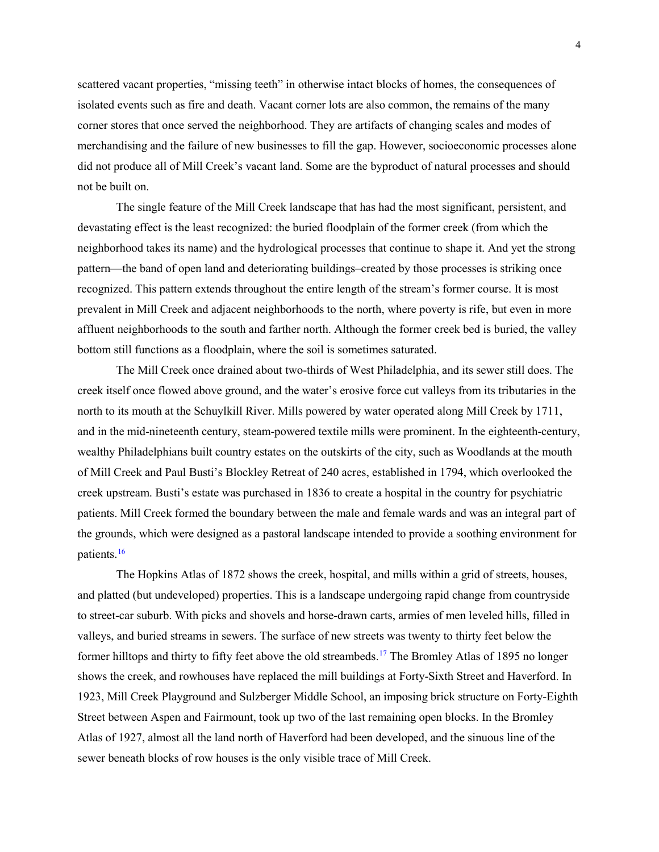scattered vacant properties, "missing teeth" in otherwise intact blocks of homes, the consequences of isolated events such as fire and death. Vacant corner lots are also common, the remains of the many corner stores that once served the neighborhood. They are artifacts of changing scales and modes of merchandising and the failure of new businesses to fill the gap. However, socioeconomic processes alone did not produce all of Mill Creek's vacant land. Some are the byproduct of natural processes and should not be built on.

The single feature of the Mill Creek landscape that has had the most significant, persistent, and devastating effect is the least recognized: the buried floodplain of the former creek (from which the neighborhood takes its name) and the hydrological processes that continue to shape it. And yet the strong pattern—the band of open land and deteriorating buildings–created by those processes is striking once recognized. This pattern extends throughout the entire length of the stream's former course. It is most prevalent in Mill Creek and adjacent neighborhoods to the north, where poverty is rife, but even in more affluent neighborhoods to the south and farther north. Although the former creek bed is buried, the valley bottom still functions as a floodplain, where the soil is sometimes saturated.

The Mill Creek once drained about two-thirds of West Philadelphia, and its sewer still does. The creek itself once flowed above ground, and the water's erosive force cut valleys from its tributaries in the north to its mouth at the Schuylkill River. Mills powered by water operated along Mill Creek by 1711, and in the mid-nineteenth century, steam-powered textile mills were prominent. In the eighteenth-century, wealthy Philadelphians built country estates on the outskirts of the city, such as Woodlands at the mouth of Mill Creek and Paul Busti's Blockley Retreat of 240 acres, established in 1794, which overlooked the creek upstream. Busti's estate was purchased in 1836 to create a hospital in the country for psychiatric patients. Mill Creek formed the boundary between the male and female wards and was an integral part of the grounds, which were designed as a pastoral landscape intended to provide a soothing environment for patients[.16](#page-20-3)

The Hopkins Atlas of 1872 shows the creek, hospital, and mills within a grid of streets, houses, and platted (but undeveloped) properties. This is a landscape undergoing rapid change from countryside to street-car suburb. With picks and shovels and horse-drawn carts, armies of men leveled hills, filled in valleys, and buried streams in sewers. The surface of new streets was twenty to thirty feet below the former hilltops and thirty to fifty feet above the old streambeds.[17](#page-20-4) The Bromley Atlas of 1895 no longer shows the creek, and rowhouses have replaced the mill buildings at Forty-Sixth Street and Haverford. In 1923, Mill Creek Playground and Sulzberger Middle School, an imposing brick structure on Forty-Eighth Street between Aspen and Fairmount, took up two of the last remaining open blocks. In the Bromley Atlas of 1927, almost all the land north of Haverford had been developed, and the sinuous line of the sewer beneath blocks of row houses is the only visible trace of Mill Creek.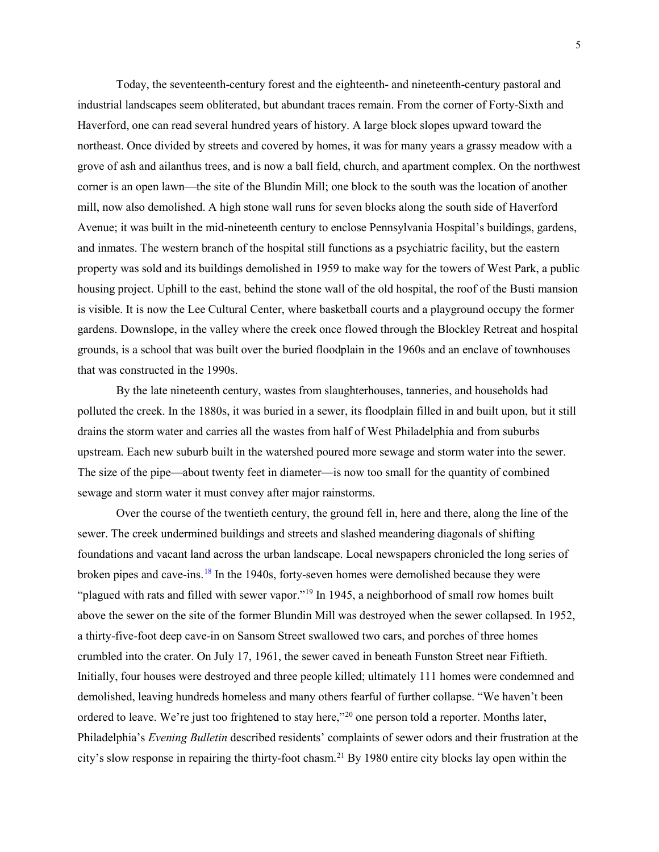Today, the seventeenth-century forest and the eighteenth- and nineteenth-century pastoral and industrial landscapes seem obliterated, but abundant traces remain. From the corner of Forty-Sixth and Haverford, one can read several hundred years of history. A large block slopes upward toward the northeast. Once divided by streets and covered by homes, it was for many years a grassy meadow with a grove of ash and ailanthus trees, and is now a ball field, church, and apartment complex. On the northwest corner is an open lawn—the site of the Blundin Mill; one block to the south was the location of another mill, now also demolished. A high stone wall runs for seven blocks along the south side of Haverford Avenue; it was built in the mid-nineteenth century to enclose Pennsylvania Hospital's buildings, gardens, and inmates. The western branch of the hospital still functions as a psychiatric facility, but the eastern property was sold and its buildings demolished in 1959 to make way for the towers of West Park, a public housing project. Uphill to the east, behind the stone wall of the old hospital, the roof of the Busti mansion is visible. It is now the Lee Cultural Center, where basketball courts and a playground occupy the former gardens. Downslope, in the valley where the creek once flowed through the Blockley Retreat and hospital grounds, is a school that was built over the buried floodplain in the 1960s and an enclave of townhouses that was constructed in the 1990s.

By the late nineteenth century, wastes from slaughterhouses, tanneries, and households had polluted the creek. In the 1880s, it was buried in a sewer, its floodplain filled in and built upon, but it still drains the storm water and carries all the wastes from half of West Philadelphia and from suburbs upstream. Each new suburb built in the watershed poured more sewage and storm water into the sewer. The size of the pipe—about twenty feet in diameter—is now too small for the quantity of combined sewage and storm water it must convey after major rainstorms.

Over the course of the twentieth century, the ground fell in, here and there, along the line of the sewer. The creek undermined buildings and streets and slashed meandering diagonals of shifting foundations and vacant land across the urban landscape. Local newspapers chronicled the long series of broken pipes and cave-ins.[18](#page-20-5) In the 1940s, forty-seven homes were demolished because they were "plagued with rats and filled with sewer vapor."<sup>[19](#page-20-6)</sup> In 1945, a neighborhood of small row homes built above the sewer on the site of the former Blundin Mill was destroyed when the sewer collapsed. In 1952, a thirty-five-foot deep cave-in on Sansom Street swallowed two cars, and porches of three homes crumbled into the crater. On July 17, 1961, the sewer caved in beneath Funston Street near Fiftieth. Initially, four houses were destroyed and three people killed; ultimately 111 homes were condemned and demolished, leaving hundreds homeless and many others fearful of further collapse. "We haven't been ordered to leave. We're just too frightened to stay here,"[20](#page-20-7) one person told a reporter. Months later, Philadelphia's *Evening Bulletin* described residents' complaints of sewer odors and their frustration at the city's slow response in repairing the thirty-foot chasm.[21](#page-20-8) By 1980 entire city blocks lay open within the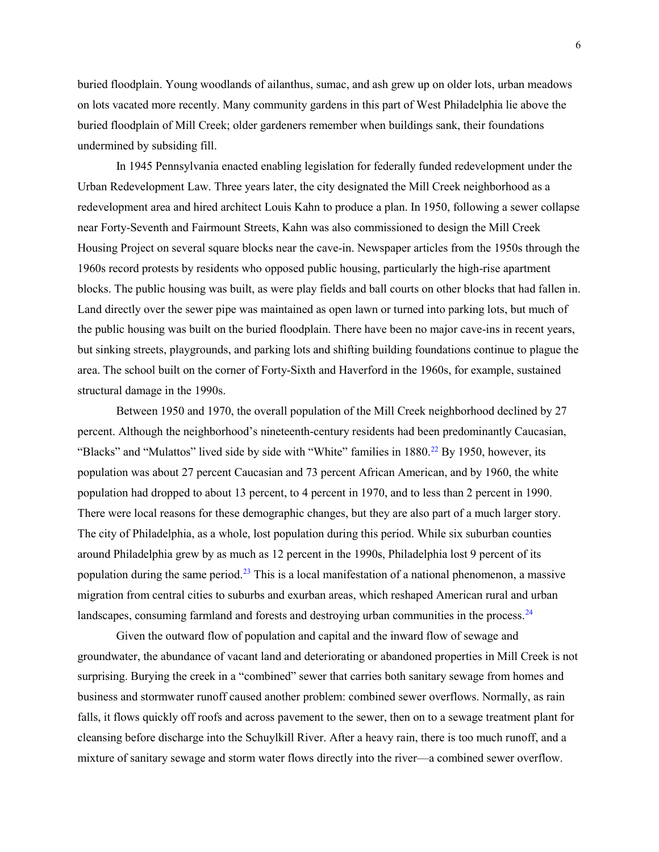buried floodplain. Young woodlands of ailanthus, sumac, and ash grew up on older lots, urban meadows on lots vacated more recently. Many community gardens in this part of West Philadelphia lie above the buried floodplain of Mill Creek; older gardeners remember when buildings sank, their foundations undermined by subsiding fill.

In 1945 Pennsylvania enacted enabling legislation for federally funded redevelopment under the Urban Redevelopment Law. Three years later, the city designated the Mill Creek neighborhood as a redevelopment area and hired architect Louis Kahn to produce a plan. In 1950, following a sewer collapse near Forty-Seventh and Fairmount Streets, Kahn was also commissioned to design the Mill Creek Housing Project on several square blocks near the cave-in. Newspaper articles from the 1950s through the 1960s record protests by residents who opposed public housing, particularly the high-rise apartment blocks. The public housing was built, as were play fields and ball courts on other blocks that had fallen in. Land directly over the sewer pipe was maintained as open lawn or turned into parking lots, but much of the public housing was built on the buried floodplain. There have been no major cave-ins in recent years, but sinking streets, playgrounds, and parking lots and shifting building foundations continue to plague the area. The school built on the corner of Forty-Sixth and Haverford in the 1960s, for example, sustained structural damage in the 1990s.

Between 1950 and 1970, the overall population of the Mill Creek neighborhood declined by 27 percent. Although the neighborhood's nineteenth-century residents had been predominantly Caucasian, "Blacks" and "Mulattos" lived side by side with "White" families in 1880.<sup>[22](#page-20-9)</sup> By 1950, however, its population was about 27 percent Caucasian and 73 percent African American, and by 1960, the white population had dropped to about 13 percent, to 4 percent in 1970, and to less than 2 percent in 1990. There were local reasons for these demographic changes, but they are also part of a much larger story. The city of Philadelphia, as a whole, lost population during this period. While six suburban counties around Philadelphia grew by as much as 12 percent in the 1990s, Philadelphia lost 9 percent of its population during the same period.<sup>[23](#page-20-10)</sup> This is a local manifestation of a national phenomenon, a massive migration from central cities to suburbs and exurban areas, which reshaped American rural and urban landscapes, consuming farmland and forests and destroying urban communities in the process.<sup>[24](#page-20-11)</sup>

Given the outward flow of population and capital and the inward flow of sewage and groundwater, the abundance of vacant land and deteriorating or abandoned properties in Mill Creek is not surprising. Burying the creek in a "combined" sewer that carries both sanitary sewage from homes and business and stormwater runoff caused another problem: combined sewer overflows. Normally, as rain falls, it flows quickly off roofs and across pavement to the sewer, then on to a sewage treatment plant for cleansing before discharge into the Schuylkill River. After a heavy rain, there is too much runoff, and a mixture of sanitary sewage and storm water flows directly into the river—a combined sewer overflow.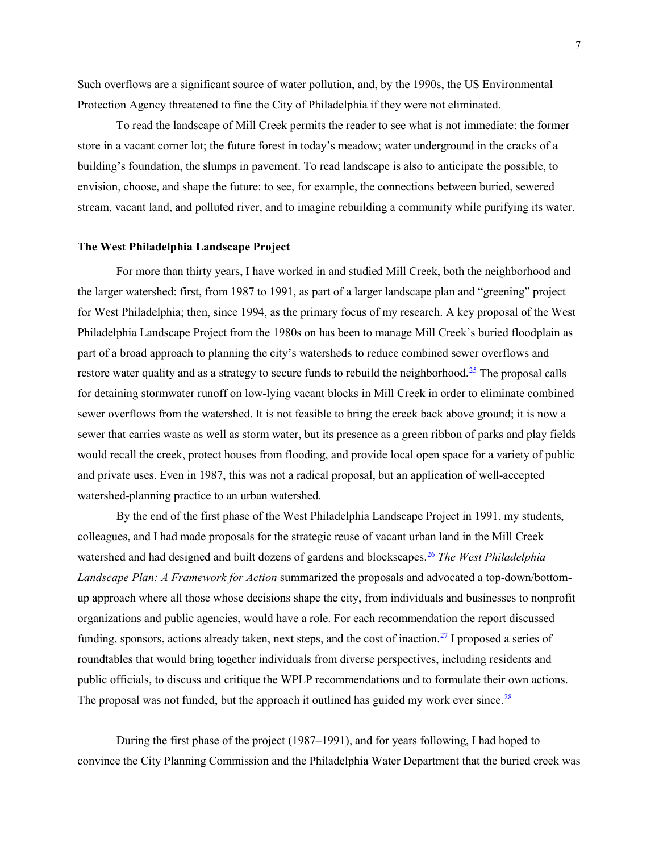Such overflows are a significant source of water pollution, and, by the 1990s, the US Environmental Protection Agency threatened to fine the City of Philadelphia if they were not eliminated.

To read the landscape of Mill Creek permits the reader to see what is not immediate: the former store in a vacant corner lot; the future forest in today's meadow; water underground in the cracks of a building's foundation, the slumps in pavement. To read landscape is also to anticipate the possible, to envision, choose, and shape the future: to see, for example, the connections between buried, sewered stream, vacant land, and polluted river, and to imagine rebuilding a community while purifying its water.

#### **The West Philadelphia Landscape Project**

For more than thirty years, I have worked in and studied Mill Creek, both the neighborhood and the larger watershed: first, from 1987 to 1991, as part of a larger landscape plan and "greening" project for West Philadelphia; then, since 1994, as the primary focus of my research. A key proposal of the West Philadelphia Landscape Project from the 1980s on has been to manage Mill Creek's buried floodplain as part of a broad approach to planning the city's watersheds to reduce combined sewer overflows and restore water quality and as a strategy to secure funds to rebuild the neighborhood.<sup>[25](#page-20-12)</sup> The proposal calls for detaining stormwater runoff on low-lying vacant blocks in Mill Creek in order to eliminate combined sewer overflows from the watershed. It is not feasible to bring the creek back above ground; it is now a sewer that carries waste as well as storm water, but its presence as a green ribbon of parks and play fields would recall the creek, protect houses from flooding, and provide local open space for a variety of public and private uses. Even in 1987, this was not a radical proposal, but an application of well-accepted watershed-planning practice to an urban watershed.

By the end of the first phase of the West Philadelphia Landscape Project in 1991, my students, colleagues, and I had made proposals for the strategic reuse of vacant urban land in the Mill Creek watershed and had designed and built dozens of gardens and blockscapes.[26](#page-20-13) *The West Philadelphia Landscape Plan: A Framework for Action* summarized the proposals and advocated a top-down/bottomup approach where all those whose decisions shape the city, from individuals and businesses to nonprofit organizations and public agencies, would have a role. For each recommendation the report discussed funding, sponsors, actions already taken, next steps, and the cost of inaction.<sup>[27](#page-20-14)</sup> I proposed a series of roundtables that would bring together individuals from diverse perspectives, including residents and public officials, to discuss and critique the WPLP recommendations and to formulate their own actions. The proposal was not funded, but the approach it outlined has guided my work ever since.<sup>[28](#page-20-15)</sup>

During the first phase of the project (1987–1991), and for years following, I had hoped to convince the City Planning Commission and the Philadelphia Water Department that the buried creek was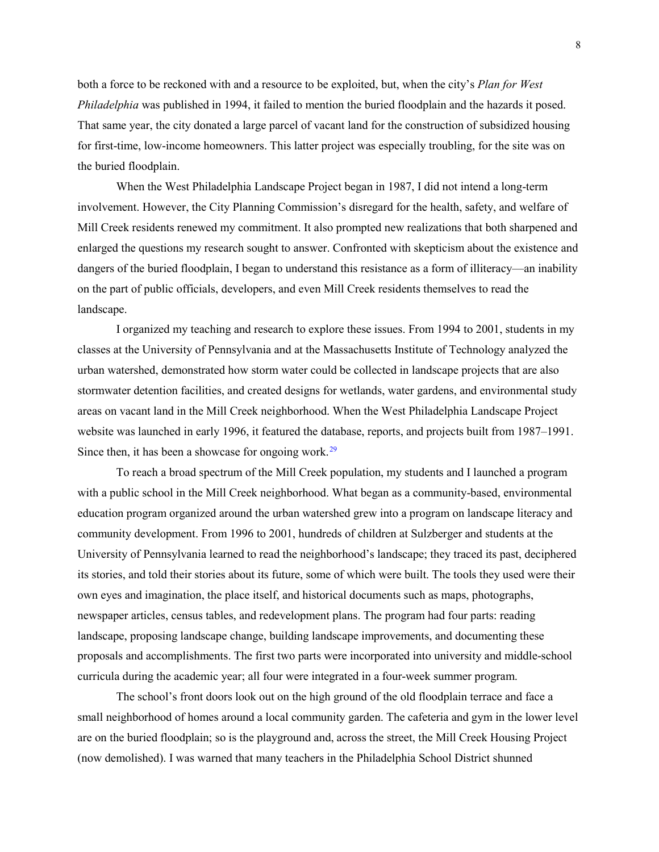both a force to be reckoned with and a resource to be exploited, but, when the city's *Plan for West Philadelphia* was published in 1994, it failed to mention the buried floodplain and the hazards it posed. That same year, the city donated a large parcel of vacant land for the construction of subsidized housing for first-time, low-income homeowners. This latter project was especially troubling, for the site was on the buried floodplain.

When the West Philadelphia Landscape Project began in 1987, I did not intend a long-term involvement. However, the City Planning Commission's disregard for the health, safety, and welfare of Mill Creek residents renewed my commitment. It also prompted new realizations that both sharpened and enlarged the questions my research sought to answer. Confronted with skepticism about the existence and dangers of the buried floodplain, I began to understand this resistance as a form of illiteracy—an inability on the part of public officials, developers, and even Mill Creek residents themselves to read the landscape.

I organized my teaching and research to explore these issues. From 1994 to 2001, students in my classes at the University of Pennsylvania and at the Massachusetts Institute of Technology analyzed the urban watershed, demonstrated how storm water could be collected in landscape projects that are also stormwater detention facilities, and created designs for wetlands, water gardens, and environmental study areas on vacant land in the Mill Creek neighborhood. When the West Philadelphia Landscape Project website was launched in early 1996, it featured the database, reports, and projects built from 1987–1991. Since then, it has been a showcase for ongoing work.<sup>[29](#page-20-16)</sup>

To reach a broad spectrum of the Mill Creek population, my students and I launched a program with a public school in the Mill Creek neighborhood. What began as a community-based, environmental education program organized around the urban watershed grew into a program on landscape literacy and community development. From 1996 to 2001, hundreds of children at Sulzberger and students at the University of Pennsylvania learned to read the neighborhood's landscape; they traced its past, deciphered its stories, and told their stories about its future, some of which were built. The tools they used were their own eyes and imagination, the place itself, and historical documents such as maps, photographs, newspaper articles, census tables, and redevelopment plans. The program had four parts: reading landscape, proposing landscape change, building landscape improvements, and documenting these proposals and accomplishments. The first two parts were incorporated into university and middle-school curricula during the academic year; all four were integrated in a four-week summer program.

The school's front doors look out on the high ground of the old floodplain terrace and face a small neighborhood of homes around a local community garden. The cafeteria and gym in the lower level are on the buried floodplain; so is the playground and, across the street, the Mill Creek Housing Project (now demolished). I was warned that many teachers in the Philadelphia School District shunned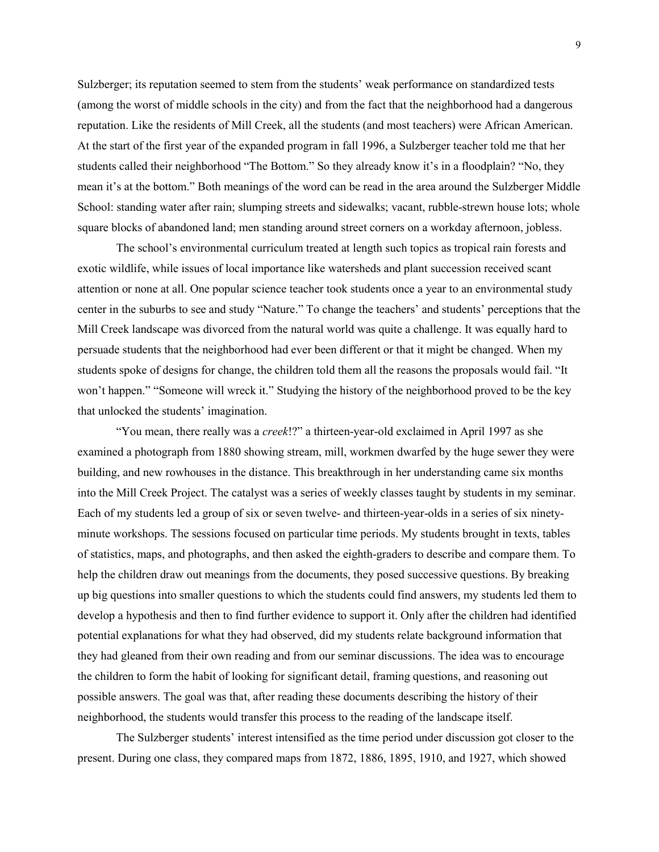Sulzberger; its reputation seemed to stem from the students' weak performance on standardized tests (among the worst of middle schools in the city) and from the fact that the neighborhood had a dangerous reputation. Like the residents of Mill Creek, all the students (and most teachers) were African American. At the start of the first year of the expanded program in fall 1996, a Sulzberger teacher told me that her students called their neighborhood "The Bottom." So they already know it's in a floodplain? "No, they mean it's at the bottom." Both meanings of the word can be read in the area around the Sulzberger Middle School: standing water after rain; slumping streets and sidewalks; vacant, rubble-strewn house lots; whole square blocks of abandoned land; men standing around street corners on a workday afternoon, jobless.

The school's environmental curriculum treated at length such topics as tropical rain forests and exotic wildlife, while issues of local importance like watersheds and plant succession received scant attention or none at all. One popular science teacher took students once a year to an environmental study center in the suburbs to see and study "Nature." To change the teachers' and students' perceptions that the Mill Creek landscape was divorced from the natural world was quite a challenge. It was equally hard to persuade students that the neighborhood had ever been different or that it might be changed. When my students spoke of designs for change, the children told them all the reasons the proposals would fail. "It won't happen." "Someone will wreck it." Studying the history of the neighborhood proved to be the key that unlocked the students' imagination.

"You mean, there really was a *creek*!?" a thirteen-year-old exclaimed in April 1997 as she examined a photograph from 1880 showing stream, mill, workmen dwarfed by the huge sewer they were building, and new rowhouses in the distance. This breakthrough in her understanding came six months into the Mill Creek Project. The catalyst was a series of weekly classes taught by students in my seminar. Each of my students led a group of six or seven twelve- and thirteen-year-olds in a series of six ninetyminute workshops. The sessions focused on particular time periods. My students brought in texts, tables of statistics, maps, and photographs, and then asked the eighth-graders to describe and compare them. To help the children draw out meanings from the documents, they posed successive questions. By breaking up big questions into smaller questions to which the students could find answers, my students led them to develop a hypothesis and then to find further evidence to support it. Only after the children had identified potential explanations for what they had observed, did my students relate background information that they had gleaned from their own reading and from our seminar discussions. The idea was to encourage the children to form the habit of looking for significant detail, framing questions, and reasoning out possible answers. The goal was that, after reading these documents describing the history of their neighborhood, the students would transfer this process to the reading of the landscape itself.

The Sulzberger students' interest intensified as the time period under discussion got closer to the present. During one class, they compared maps from 1872, 1886, 1895, 1910, and 1927, which showed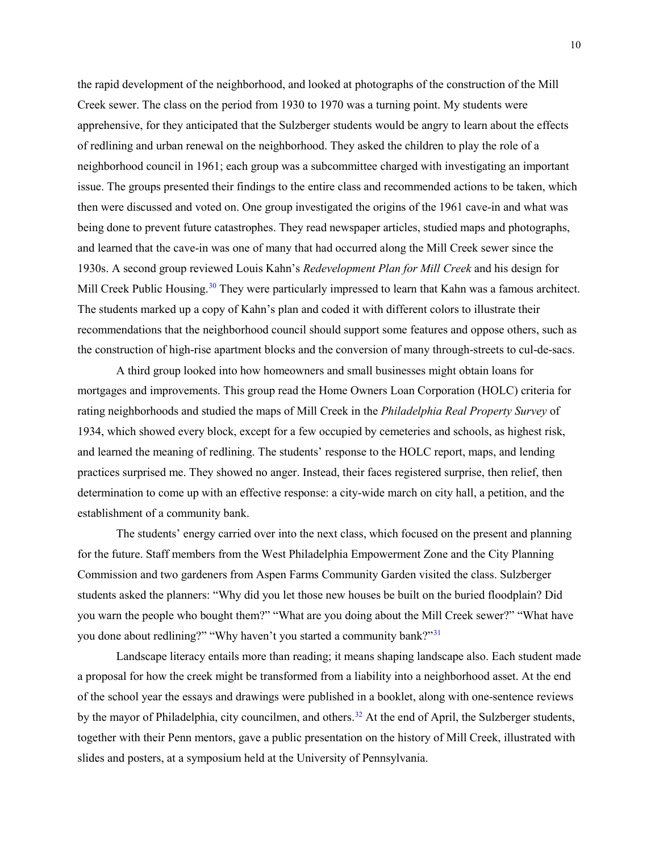the rapid development of the neighborhood, and looked at photographs of the construction of the Mill Creek sewer. The class on the period from 1930 to 1970 was a turning point. My students were apprehensive, for they anticipated that the Sulzberger students would be angry to learn about the effects of redlining and urban renewal on the neighborhood. They asked the children to play the role of a neighborhood council in 1961; each group was a subcommittee charged with investigating an important issue. The groups presented their findings to the entire class and recommended actions to be taken, which then were discussed and voted on. One group investigated the origins of the 1961 cave-in and what was being done to prevent future catastrophes. They read newspaper articles, studied maps and photographs, and learned that the cave-in was one of many that had occurred along the Mill Creek sewer since the 1930s. A second group reviewed Louis Kahn's *Redevelopment Plan for Mill Creek* and his design for Mill Creek Public Housing.<sup>[30](#page-20-17)</sup> They were particularly impressed to learn that Kahn was a famous architect. The students marked up a copy of Kahn's plan and coded it with different colors to illustrate their recommendations that the neighborhood council should support some features and oppose others, such as the construction of high-rise apartment blocks and the conversion of many through-streets to cul-de-sacs.

A third group looked into how homeowners and small businesses might obtain loans for mortgages and improvements. This group read the Home Owners Loan Corporation (HOLC) criteria for rating neighborhoods and studied the maps of Mill Creek in the *Philadelphia Real Property Survey* of 1934, which showed every block, except for a few occupied by cemeteries and schools, as highest risk, and learned the meaning of redlining. The students' response to the HOLC report, maps, and lending practices surprised me. They showed no anger. Instead, their faces registered surprise, then relief, then determination to come up with an effective response: a city-wide march on city hall, a petition, and the establishment of a community bank.

The students' energy carried over into the next class, which focused on the present and planning for the future. Staff members from the West Philadelphia Empowerment Zone and the City Planning Commission and two gardeners from Aspen Farms Community Garden visited the class. Sulzberger students asked the planners: "Why did you let those new houses be built on the buried floodplain? Did you warn the people who bought them?" "What are you doing about the Mill Creek sewer?" "What have you done about redlining?" "Why haven't you started a community bank?"[31](#page-20-18)

Landscape literacy entails more than reading; it means shaping landscape also. Each student made a proposal for how the creek might be transformed from a liability into a neighborhood asset. At the end of the school year the essays and drawings were published in a booklet, along with one-sentence reviews by the mayor of Philadelphia, city councilmen, and others.<sup>[32](#page-20-19)</sup> At the end of April, the Sulzberger students, together with their Penn mentors, gave a public presentation on the history of Mill Creek, illustrated with slides and posters, at a symposium held at the University of Pennsylvania.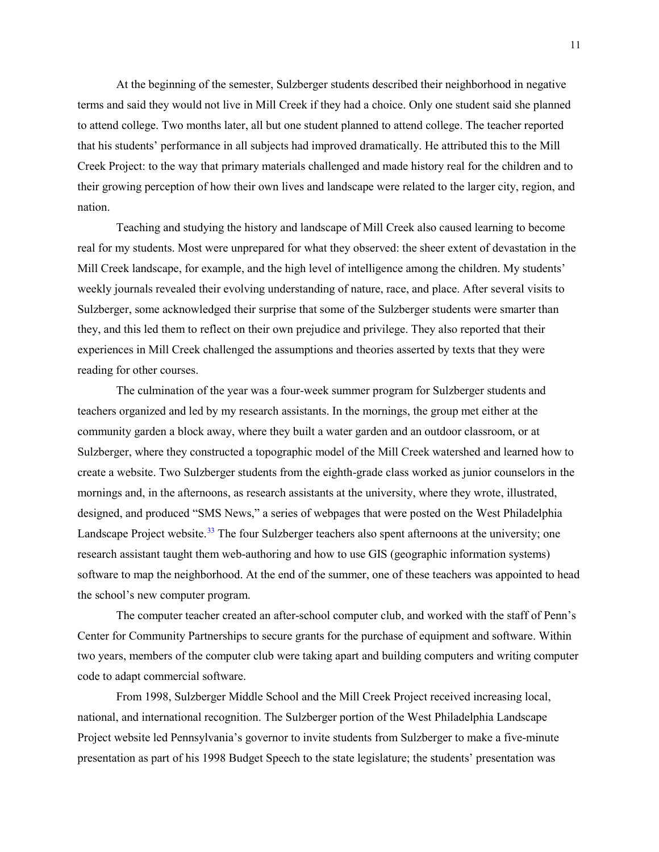At the beginning of the semester, Sulzberger students described their neighborhood in negative terms and said they would not live in Mill Creek if they had a choice. Only one student said she planned to attend college. Two months later, all but one student planned to attend college. The teacher reported that his students' performance in all subjects had improved dramatically. He attributed this to the Mill Creek Project: to the way that primary materials challenged and made history real for the children and to their growing perception of how their own lives and landscape were related to the larger city, region, and nation.

Teaching and studying the history and landscape of Mill Creek also caused learning to become real for my students. Most were unprepared for what they observed: the sheer extent of devastation in the Mill Creek landscape, for example, and the high level of intelligence among the children. My students' weekly journals revealed their evolving understanding of nature, race, and place. After several visits to Sulzberger, some acknowledged their surprise that some of the Sulzberger students were smarter than they, and this led them to reflect on their own prejudice and privilege. They also reported that their experiences in Mill Creek challenged the assumptions and theories asserted by texts that they were reading for other courses.

The culmination of the year was a four-week summer program for Sulzberger students and teachers organized and led by my research assistants. In the mornings, the group met either at the community garden a block away, where they built a water garden and an outdoor classroom, or at Sulzberger, where they constructed a topographic model of the Mill Creek watershed and learned how to create a website. Two Sulzberger students from the eighth-grade class worked as junior counselors in the mornings and, in the afternoons, as research assistants at the university, where they wrote, illustrated, designed, and produced "SMS News," a series of webpages that were posted on the West Philadelphia Landscape Project website.<sup>[33](#page-20-20)</sup> The four Sulzberger teachers also spent afternoons at the university; one research assistant taught them web-authoring and how to use GIS (geographic information systems) software to map the neighborhood. At the end of the summer, one of these teachers was appointed to head the school's new computer program.

The computer teacher created an after-school computer club, and worked with the staff of Penn's Center for Community Partnerships to secure grants for the purchase of equipment and software. Within two years, members of the computer club were taking apart and building computers and writing computer code to adapt commercial software.

From 1998, Sulzberger Middle School and the Mill Creek Project received increasing local, national, and international recognition. The Sulzberger portion of the West Philadelphia Landscape Project website led Pennsylvania's governor to invite students from Sulzberger to make a five-minute presentation as part of his 1998 Budget Speech to the state legislature; the students' presentation was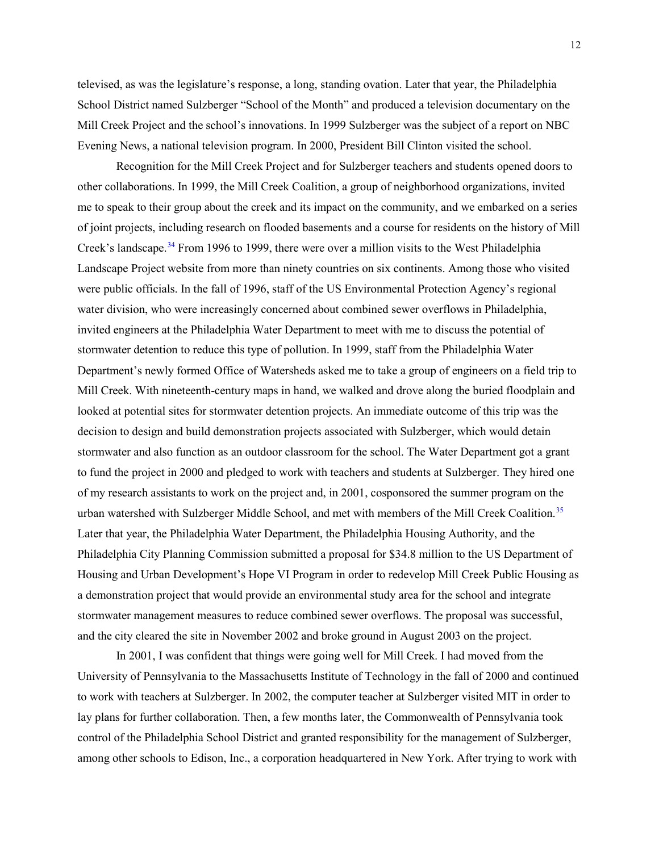televised, as was the legislature's response, a long, standing ovation. Later that year, the Philadelphia School District named Sulzberger "School of the Month" and produced a television documentary on the Mill Creek Project and the school's innovations. In 1999 Sulzberger was the subject of a report on NBC Evening News, a national television program. In 2000, President Bill Clinton visited the school.

Recognition for the Mill Creek Project and for Sulzberger teachers and students opened doors to other collaborations. In 1999, the Mill Creek Coalition, a group of neighborhood organizations, invited me to speak to their group about the creek and its impact on the community, and we embarked on a series of joint projects, including research on flooded basements and a course for residents on the history of Mill Creek's landscape.<sup>[34](#page-20-21)</sup> From 1996 to 1999, there were over a million visits to the West Philadelphia Landscape Project website from more than ninety countries on six continents. Among those who visited were public officials. In the fall of 1996, staff of the US Environmental Protection Agency's regional water division, who were increasingly concerned about combined sewer overflows in Philadelphia, invited engineers at the Philadelphia Water Department to meet with me to discuss the potential of stormwater detention to reduce this type of pollution. In 1999, staff from the Philadelphia Water Department's newly formed Office of Watersheds asked me to take a group of engineers on a field trip to Mill Creek. With nineteenth-century maps in hand, we walked and drove along the buried floodplain and looked at potential sites for stormwater detention projects. An immediate outcome of this trip was the decision to design and build demonstration projects associated with Sulzberger, which would detain stormwater and also function as an outdoor classroom for the school. The Water Department got a grant to fund the project in 2000 and pledged to work with teachers and students at Sulzberger. They hired one of my research assistants to work on the project and, in 2001, cosponsored the summer program on the urban watershed with Sulzberger Middle School, and met with members of the Mill Creek Coalition.[35](#page-20-22) Later that year, the Philadelphia Water Department, the Philadelphia Housing Authority, and the Philadelphia City Planning Commission submitted a proposal for \$34.8 million to the US Department of Housing and Urban Development's Hope VI Program in order to redevelop Mill Creek Public Housing as a demonstration project that would provide an environmental study area for the school and integrate stormwater management measures to reduce combined sewer overflows. The proposal was successful, and the city cleared the site in November 2002 and broke ground in August 2003 on the project.

In 2001, I was confident that things were going well for Mill Creek. I had moved from the University of Pennsylvania to the Massachusetts Institute of Technology in the fall of 2000 and continued to work with teachers at Sulzberger. In 2002, the computer teacher at Sulzberger visited MIT in order to lay plans for further collaboration. Then, a few months later, the Commonwealth of Pennsylvania took control of the Philadelphia School District and granted responsibility for the management of Sulzberger, among other schools to Edison, Inc., a corporation headquartered in New York. After trying to work with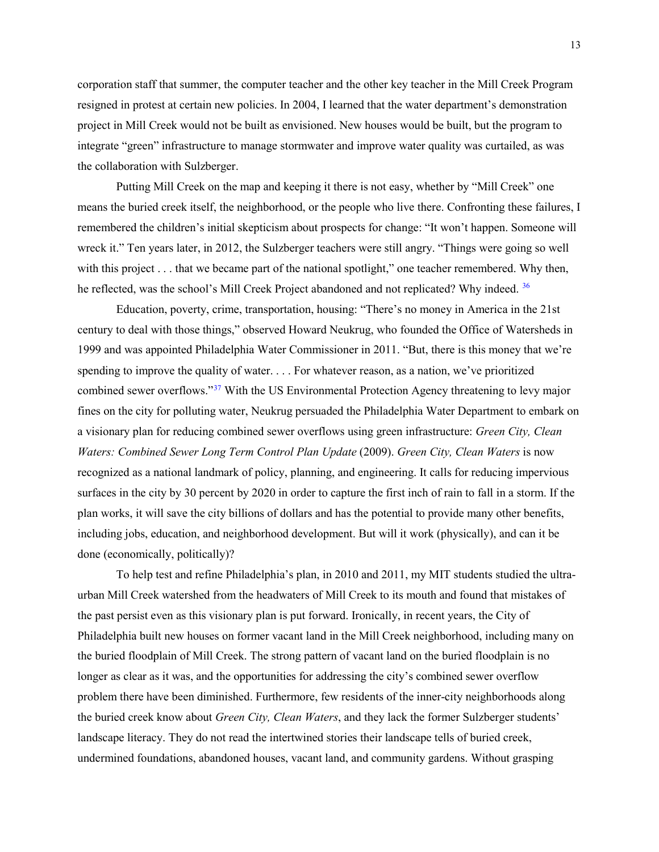corporation staff that summer, the computer teacher and the other key teacher in the Mill Creek Program resigned in protest at certain new policies. In 2004, I learned that the water department's demonstration project in Mill Creek would not be built as envisioned. New houses would be built, but the program to integrate "green" infrastructure to manage stormwater and improve water quality was curtailed, as was the collaboration with Sulzberger.

Putting Mill Creek on the map and keeping it there is not easy, whether by "Mill Creek" one means the buried creek itself, the neighborhood, or the people who live there. Confronting these failures, I remembered the children's initial skepticism about prospects for change: "It won't happen. Someone will wreck it." Ten years later, in 2012, the Sulzberger teachers were still angry. "Things were going so well with this project . . . that we became part of the national spotlight," one teacher remembered. Why then, he reflected, was the school's Mill Creek Project abandoned and not replicated? Why indeed. <sup>[36](#page-21-0)</sup>

Education, poverty, crime, transportation, housing: "There's no money in America in the 21st century to deal with those things," observed Howard Neukrug, who founded the Office of Watersheds in 1999 and was appointed Philadelphia Water Commissioner in 2011. "But, there is this money that we're spending to improve the quality of water. . . . For whatever reason, as a nation, we've prioritized combined sewer overflows."[37](#page-21-1) With the US Environmental Protection Agency threatening to levy major fines on the city for polluting water, Neukrug persuaded the Philadelphia Water Department to embark on a visionary plan for reducing combined sewer overflows using green infrastructure: *Green City, Clean Waters: Combined Sewer Long Term Control Plan Update* (2009). *Green City, Clean Waters* is now recognized as a national landmark of policy, planning, and engineering. It calls for reducing impervious surfaces in the city by 30 percent by 2020 in order to capture the first inch of rain to fall in a storm. If the plan works, it will save the city billions of dollars and has the potential to provide many other benefits, including jobs, education, and neighborhood development. But will it work (physically), and can it be done (economically, politically)?

To help test and refine Philadelphia's plan, in 2010 and 2011, my MIT students studied the ultraurban Mill Creek watershed from the headwaters of Mill Creek to its mouth and found that mistakes of the past persist even as this visionary plan is put forward. Ironically, in recent years, the City of Philadelphia built new houses on former vacant land in the Mill Creek neighborhood, including many on the buried floodplain of Mill Creek. The strong pattern of vacant land on the buried floodplain is no longer as clear as it was, and the opportunities for addressing the city's combined sewer overflow problem there have been diminished. Furthermore, few residents of the inner-city neighborhoods along the buried creek know about *Green City, Clean Waters*, and they lack the former Sulzberger students' landscape literacy. They do not read the intertwined stories their landscape tells of buried creek, undermined foundations, abandoned houses, vacant land, and community gardens. Without grasping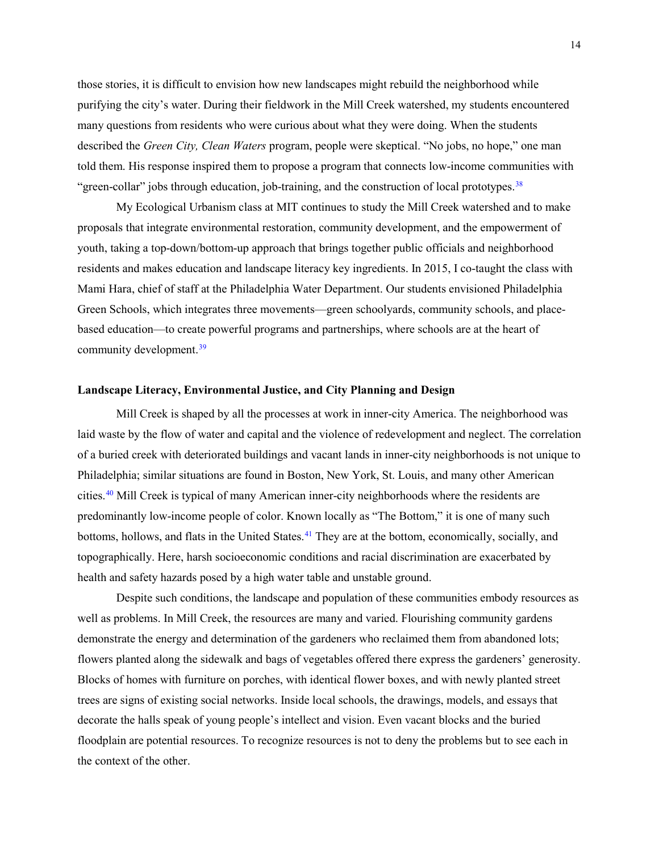those stories, it is difficult to envision how new landscapes might rebuild the neighborhood while purifying the city's water. During their fieldwork in the Mill Creek watershed, my students encountered many questions from residents who were curious about what they were doing. When the students described the *Green City, Clean Waters* program, people were skeptical. "No jobs, no hope," one man told them. His response inspired them to propose a program that connects low-income communities with "green-collar" jobs through education, job-training, and the construction of local prototypes. $38$ 

My Ecological Urbanism class at MIT continues to study the Mill Creek watershed and to make proposals that integrate environmental restoration, community development, and the empowerment of youth, taking a top-down/bottom-up approach that brings together public officials and neighborhood residents and makes education and landscape literacy key ingredients. In 2015, I co-taught the class with Mami Hara, chief of staff at the Philadelphia Water Department. Our students envisioned Philadelphia Green Schools, which integrates three movements—green schoolyards, community schools, and placebased education—to create powerful programs and partnerships, where schools are at the heart of community development.<sup>[39](#page-21-3)</sup>

#### **Landscape Literacy, Environmental Justice, and City Planning and Design**

Mill Creek is shaped by all the processes at work in inner-city America. The neighborhood was laid waste by the flow of water and capital and the violence of redevelopment and neglect. The correlation of a buried creek with deteriorated buildings and vacant lands in inner-city neighborhoods is not unique to Philadelphia; similar situations are found in Boston, New York, St. Louis, and many other American cities.[40](#page-21-4) Mill Creek is typical of many American inner-city neighborhoods where the residents are predominantly low-income people of color. Known locally as "The Bottom," it is one of many such bottoms, hollows, and flats in the United States.[41](#page-21-5) They are at the bottom, economically, socially, and topographically. Here, harsh socioeconomic conditions and racial discrimination are exacerbated by health and safety hazards posed by a high water table and unstable ground.

Despite such conditions, the landscape and population of these communities embody resources as well as problems. In Mill Creek, the resources are many and varied. Flourishing community gardens demonstrate the energy and determination of the gardeners who reclaimed them from abandoned lots; flowers planted along the sidewalk and bags of vegetables offered there express the gardeners' generosity. Blocks of homes with furniture on porches, with identical flower boxes, and with newly planted street trees are signs of existing social networks. Inside local schools, the drawings, models, and essays that decorate the halls speak of young people's intellect and vision. Even vacant blocks and the buried floodplain are potential resources. To recognize resources is not to deny the problems but to see each in the context of the other.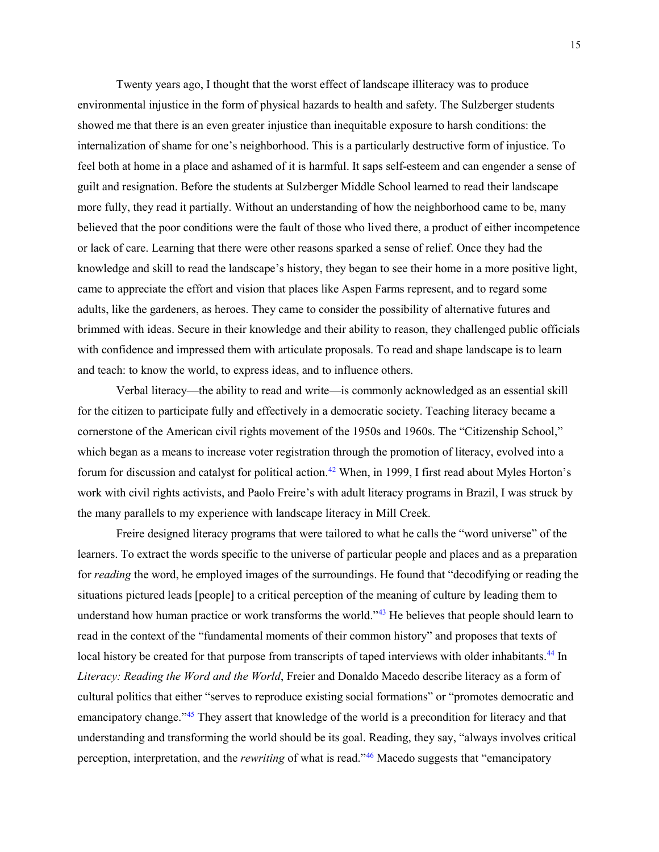Twenty years ago, I thought that the worst effect of landscape illiteracy was to produce environmental injustice in the form of physical hazards to health and safety. The Sulzberger students showed me that there is an even greater injustice than inequitable exposure to harsh conditions: the internalization of shame for one's neighborhood. This is a particularly destructive form of injustice. To feel both at home in a place and ashamed of it is harmful. It saps self-esteem and can engender a sense of guilt and resignation. Before the students at Sulzberger Middle School learned to read their landscape more fully, they read it partially. Without an understanding of how the neighborhood came to be, many believed that the poor conditions were the fault of those who lived there, a product of either incompetence or lack of care. Learning that there were other reasons sparked a sense of relief. Once they had the knowledge and skill to read the landscape's history, they began to see their home in a more positive light, came to appreciate the effort and vision that places like Aspen Farms represent, and to regard some adults, like the gardeners, as heroes. They came to consider the possibility of alternative futures and brimmed with ideas. Secure in their knowledge and their ability to reason, they challenged public officials with confidence and impressed them with articulate proposals. To read and shape landscape is to learn and teach: to know the world, to express ideas, and to influence others.

Verbal literacy—the ability to read and write—is commonly acknowledged as an essential skill for the citizen to participate fully and effectively in a democratic society. Teaching literacy became a cornerstone of the American civil rights movement of the 1950s and 1960s. The "Citizenship School," which began as a means to increase voter registration through the promotion of literacy, evolved into a forum for discussion and catalyst for political action.<sup>[42](#page-21-6)</sup> When, in 1999, I first read about Myles Horton's work with civil rights activists, and Paolo Freire's with adult literacy programs in Brazil, I was struck by the many parallels to my experience with landscape literacy in Mill Creek.

Freire designed literacy programs that were tailored to what he calls the "word universe" of the learners. To extract the words specific to the universe of particular people and places and as a preparation for *reading* the word, he employed images of the surroundings. He found that "decodifying or reading the situations pictured leads [people] to a critical perception of the meaning of culture by leading them to understand how human practice or work transforms the world."<sup>[43](#page-21-7)</sup> He believes that people should learn to read in the context of the "fundamental moments of their common history" and proposes that texts of local history be created for that purpose from transcripts of taped interviews with older inhabitants.<sup>44</sup> In *Literacy: Reading the Word and the World*, Freier and Donaldo Macedo describe literacy as a form of cultural politics that either "serves to reproduce existing social formations" or "promotes democratic and emancipatory change.<sup>"[45](#page-21-9)</sup> They assert that knowledge of the world is a precondition for literacy and that understanding and transforming the world should be its goal. Reading, they say, "always involves critical perception, interpretation, and the *rewriting* of what is read."[46](#page-21-10) Macedo suggests that "emancipatory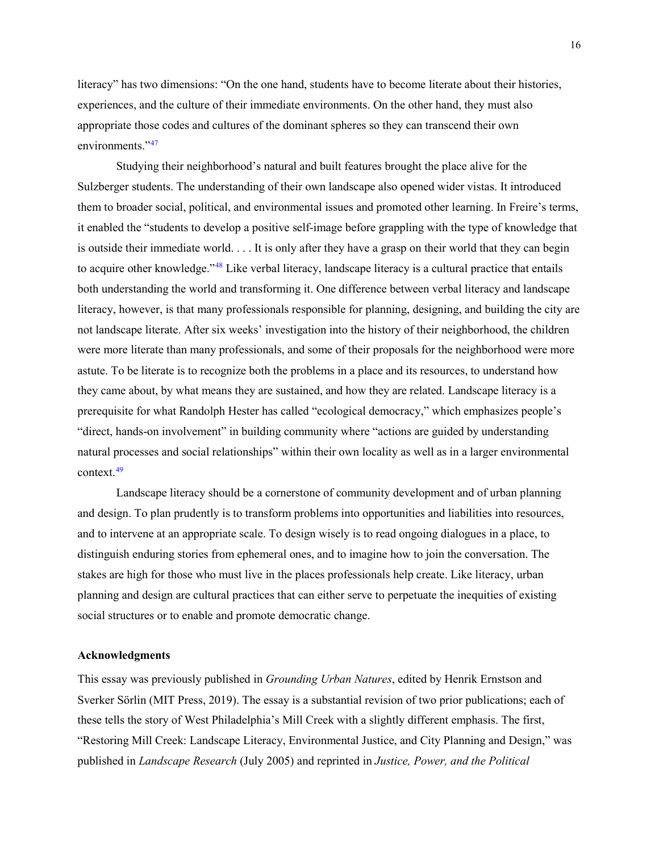literacy" has two dimensions: "On the one hand, students have to become literate about their histories, experiences, and the culture of their immediate environments. On the other hand, they must also appropriate those codes and cultures of the dominant spheres so they can transcend their own environments."[47](#page-21-11)

Studying their neighborhood's natural and built features brought the place alive for the Sulzberger students. The understanding of their own landscape also opened wider vistas. It introduced them to broader social, political, and environmental issues and promoted other learning. In Freire's terms, it enabled the "students to develop a positive self-image before grappling with the type of knowledge that is outside their immediate world. . . . It is only after they have a grasp on their world that they can begin to acquire other knowledge."[48](#page-21-12) Like verbal literacy, landscape literacy is a cultural practice that entails both understanding the world and transforming it. One difference between verbal literacy and landscape literacy, however, is that many professionals responsible for planning, designing, and building the city are not landscape literate. After six weeks' investigation into the history of their neighborhood, the children were more literate than many professionals, and some of their proposals for the neighborhood were more astute. To be literate is to recognize both the problems in a place and its resources, to understand how they came about, by what means they are sustained, and how they are related. Landscape literacy is a prerequisite for what Randolph Hester has called "ecological democracy," which emphasizes people's "direct, hands-on involvement" in building community where "actions are guided by understanding natural processes and social relationships" within their own locality as well as in a larger environmental context.[49](#page-21-13)

Landscape literacy should be a cornerstone of community development and of urban planning and design. To plan prudently is to transform problems into opportunities and liabilities into resources, and to intervene at an appropriate scale. To design wisely is to read ongoing dialogues in a place, to distinguish enduring stories from ephemeral ones, and to imagine how to join the conversation. The stakes are high for those who must live in the places professionals help create. Like literacy, urban planning and design are cultural practices that can either serve to perpetuate the inequities of existing social structures or to enable and promote democratic change.

### **Acknowledgments**

This essay was previously published in *Grounding Urban Natures*, edited by Henrik Ernstson and Sverker Sörlin (MIT Press, 2019). The essay is a substantial revision of two prior publications; each of these tells the story of West Philadelphia's Mill Creek with a slightly different emphasis. The first, "Restoring Mill Creek: Landscape Literacy, Environmental Justice, and City Planning and Design," was published in *Landscape Research* (July 2005) and reprinted in *Justice, Power, and the Political*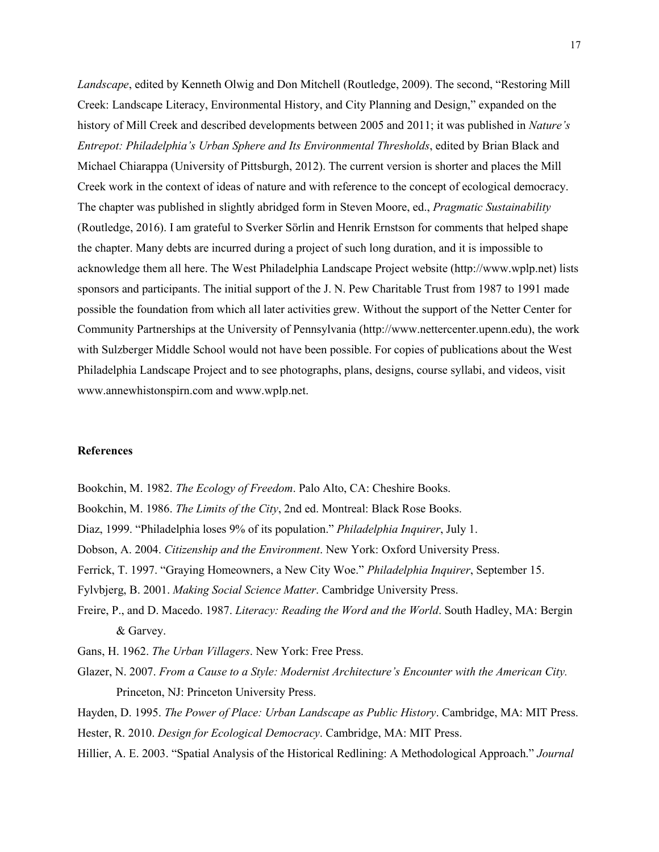*Landscape*, edited by Kenneth Olwig and Don Mitchell (Routledge, 2009). The second, "Restoring Mill Creek: Landscape Literacy, Environmental History, and City Planning and Design," expanded on the history of Mill Creek and described developments between 2005 and 2011; it was published in *Nature's Entrepot: Philadelphia's Urban Sphere and Its Environmental Thresholds*, edited by Brian Black and Michael Chiarappa (University of Pittsburgh, 2012). The current version is shorter and places the Mill Creek work in the context of ideas of nature and with reference to the concept of ecological democracy. The chapter was published in slightly abridged form in Steven Moore, ed., *Pragmatic Sustainability* (Routledge, 2016). I am grateful to Sverker Sörlin and Henrik Ernstson for comments that helped shape the chapter. Many debts are incurred during a project of such long duration, and it is impossible to acknowledge them all here. The West Philadelphia Landscape Project website (http://www.wplp.net) lists sponsors and participants. The initial support of the J. N. Pew Charitable Trust from 1987 to 1991 made possible the foundation from which all later activities grew. Without the support of the Netter Center for Community Partnerships at the University of Pennsylvania (http://www.nettercenter.upenn.edu), the work with Sulzberger Middle School would not have been possible. For copies of publications about the West Philadelphia Landscape Project and to see photographs, plans, designs, course syllabi, and videos, visit www.annewhistonspirn.com and www.wplp.net.

## **References**

Bookchin, M. 1982. *The Ecology of Freedom*. Palo Alto, CA: Cheshire Books. Bookchin, M. 1986. *The Limits of the City*, 2nd ed. Montreal: Black Rose Books. Diaz, 1999. "Philadelphia loses 9% of its population." *Philadelphia Inquirer*, July 1. Dobson, A. 2004. *Citizenship and the Environment*. New York: Oxford University Press. Ferrick, T. 1997. "Graying Homeowners, a New City Woe." *Philadelphia Inquirer*, September 15. Fylvbjerg, B. 2001. *Making Social Science Matter*. Cambridge University Press. Freire, P., and D. Macedo. 1987. *Literacy: Reading the Word and the World*. South Hadley, MA: Bergin & Garvey. Gans, H. 1962. *The Urban Villagers*. New York: Free Press. Glazer, N. 2007. *From a Cause to a Style: Modernist Architecture's Encounter with the American City.* Princeton, NJ: Princeton University Press. Hayden, D. 1995. *The Power of Place: Urban Landscape as Public History*. Cambridge, MA: MIT Press. Hester, R. 2010. *Design for Ecological Democracy*. Cambridge, MA: MIT Press. Hillier, A. E. 2003. "Spatial Analysis of the Historical Redlining: A Methodological Approach." *Journal*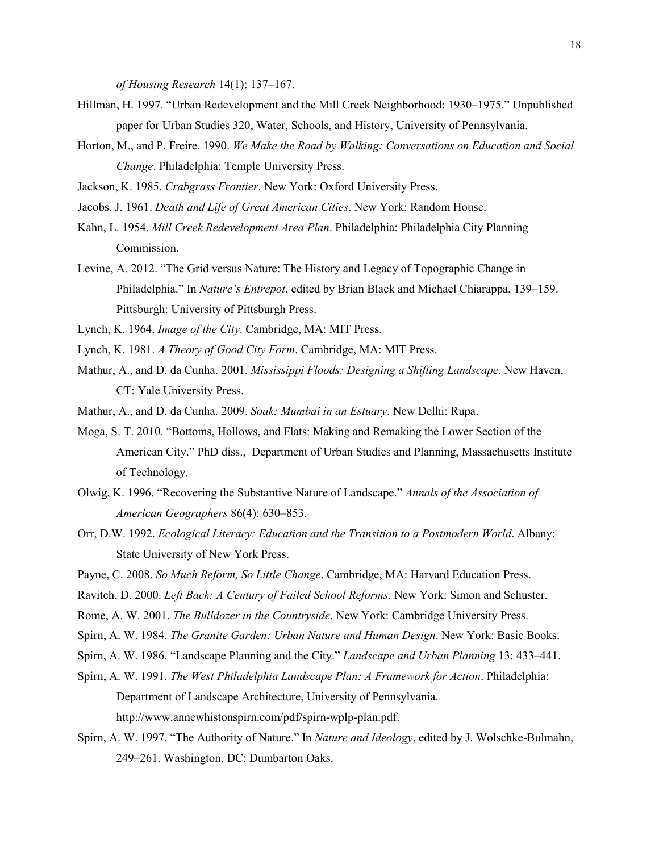*of Housing Research* 14(1): 137–167.

- Hillman, H. 1997. "Urban Redevelopment and the Mill Creek Neighborhood: 1930–1975." Unpublished paper for Urban Studies 320, Water, Schools, and History, University of Pennsylvania.
- Horton, M., and P. Freire. 1990. *We Make the Road by Walking: Conversations on Education and Social Change*. Philadelphia: Temple University Press.
- Jackson, K. 1985. *Crabgrass Frontier*. New York: Oxford University Press.
- Jacobs, J. 1961. *Death and Life of Great American Cities*. New York: Random House.
- Kahn, L. 1954. *Mill Creek Redevelopment Area Plan*. Philadelphia: Philadelphia City Planning Commission.
- Levine, A. 2012. "The Grid versus Nature: The History and Legacy of Topographic Change in Philadelphia." In *Nature's Entrepot*, edited by Brian Black and Michael Chiarappa, 139–159. Pittsburgh: University of Pittsburgh Press.
- Lynch, K. 1964. *Image of the City*. Cambridge, MA: MIT Press.
- Lynch, K. 1981. *A Theory of Good City Form*. Cambridge, MA: MIT Press.
- Mathur, A., and D. da Cunha. 2001. *Mississippi Floods: Designing a Shifting Landscape*. New Haven, CT: Yale University Press.
- Mathur, A., and D. da Cunha. 2009. *Soak: Mumbai in an Estuary*. New Delhi: Rupa.
- Moga, S. T. 2010. "Bottoms, Hollows, and Flats: Making and Remaking the Lower Section of the American City." PhD diss., Department of Urban Studies and Planning, Massachusetts Institute of Technology.
- Olwig, K. 1996. "Recovering the Substantive Nature of Landscape." *Annals of the Association of American Geographers* 86(4): 630–853.
- Orr, D.W. 1992. *Ecological Literacy: Education and the Transition to a Postmodern World*. Albany: State University of New York Press.
- Payne, C. 2008. *So Much Reform, So Little Change*. Cambridge, MA: Harvard Education Press.
- Ravitch, D. 2000. *Left Back: A Century of Failed School Reforms*. New York: Simon and Schuster.
- Rome, A. W. 2001. *The Bulldozer in the Countryside*. New York: Cambridge University Press.
- Spirn, A. W. 1984. *The Granite Garden: Urban Nature and Human Design*. New York: Basic Books.
- Spirn, A. W. 1986. "Landscape Planning and the City." *Landscape and Urban Planning* 13: 433–441.
- Spirn, A. W. 1991. *The West Philadelphia Landscape Plan: A Framework for Action*. Philadelphia: Department of Landscape Architecture, University of Pennsylvania. http://www.annewhistonspirn.com/pdf/spirn-wplp-plan.pdf.
- Spirn, A. W. 1997. "The Authority of Nature." In *Nature and Ideology*, edited by J. Wolschke-Bulmahn, 249–261. Washington, DC: Dumbarton Oaks.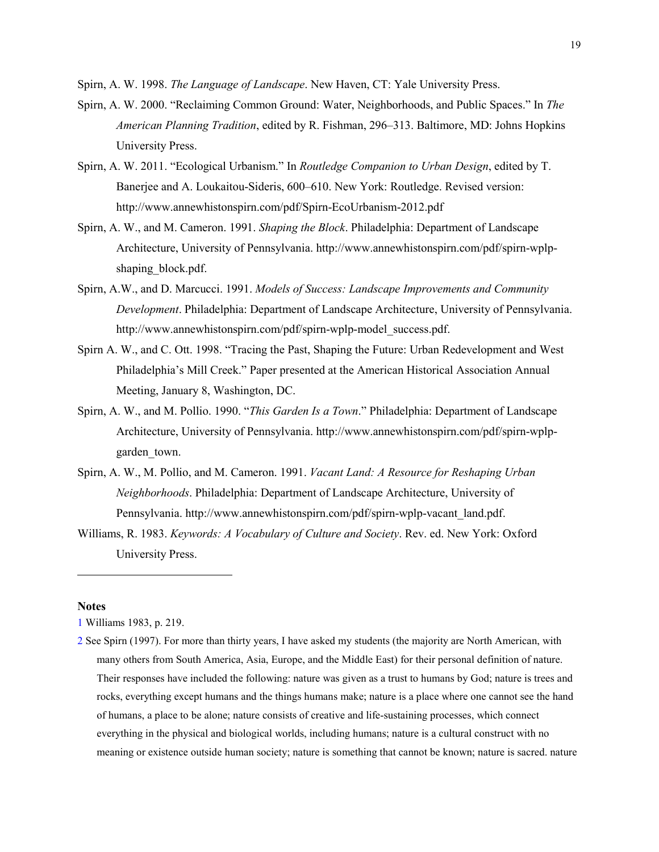Spirn, A. W. 1998. *The Language of Landscape*. New Haven, CT: Yale University Press.

- Spirn, A. W. 2000. "Reclaiming Common Ground: Water, Neighborhoods, and Public Spaces." In *The American Planning Tradition*, edited by R. Fishman, 296–313. Baltimore, MD: Johns Hopkins University Press.
- Spirn, A. W. 2011. "Ecological Urbanism." In *Routledge Companion to Urban Design*, edited by T. Banerjee and A. Loukaitou-Sideris, 600–610. New York: Routledge. Revised version: http://www.annewhistonspirn.com/pdf/Spirn-EcoUrbanism-2012.pdf
- Spirn, A. W., and M. Cameron. 1991. *Shaping the Block*. Philadelphia: Department of Landscape Architecture, University of Pennsylvania. http://www.annewhistonspirn.com/pdf/spirn-wplpshaping block.pdf.
- Spirn, A.W., and D. Marcucci. 1991. *Models of Success: Landscape Improvements and Community Development*. Philadelphia: Department of Landscape Architecture, University of Pennsylvania. http://www.annewhistonspirn.com/pdf/spirn-wplp-model\_success.pdf.
- Spirn A. W., and C. Ott. 1998. "Tracing the Past, Shaping the Future: Urban Redevelopment and West Philadelphia's Mill Creek." Paper presented at the American Historical Association Annual Meeting, January 8, Washington, DC.
- Spirn, A. W., and M. Pollio. 1990. "*This Garden Is a Town*." Philadelphia: Department of Landscape Architecture, University of Pennsylvania. http://www.annewhistonspirn.com/pdf/spirn-wplpgarden\_town.
- Spirn, A. W., M. Pollio, and M. Cameron. 1991. *Vacant Land: A Resource for Reshaping Urban Neighborhoods*. Philadelphia: Department of Landscape Architecture, University of Pennsylvania. http://www.annewhistonspirn.com/pdf/spirn-wplp-vacant\_land.pdf.
- Williams, R. 1983. *Keywords: A Vocabulary of Culture and Society*. Rev. ed. New York: Oxford University Press.

#### <span id="page-18-0"></span>**Notes**

 $\overline{a}$ 

- 1 Williams 1983, p. 219.
- <span id="page-18-1"></span>2 See Spirn (1997). For more than thirty years, I have asked my students (the majority are North American, with many others from South America, Asia, Europe, and the Middle East) for their personal definition of nature. Their responses have included the following: nature was given as a trust to humans by God; nature is trees and rocks, everything except humans and the things humans make; nature is a place where one cannot see the hand of humans, a place to be alone; nature consists of creative and life-sustaining processes, which connect everything in the physical and biological worlds, including humans; nature is a cultural construct with no meaning or existence outside human society; nature is something that cannot be known; nature is sacred. nature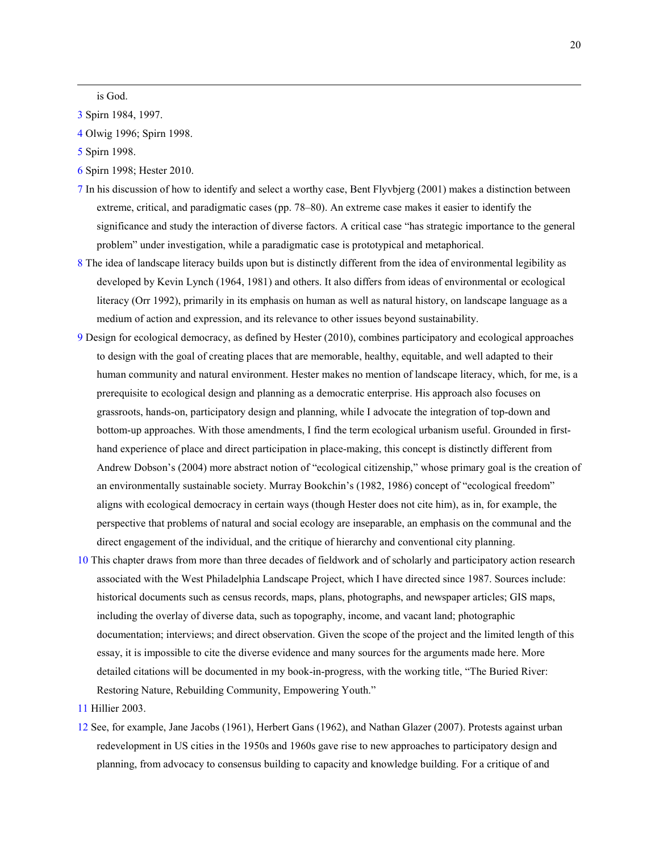is God.

 $\overline{a}$ 

<span id="page-19-1"></span>4 Olwig 1996; Spirn 1998.

- <span id="page-19-3"></span>6 Spirn 1998; Hester 2010.
- <span id="page-19-4"></span>7 In his discussion of how to identify and select a worthy case, Bent Flyvbjerg (2001) makes a distinction between extreme, critical, and paradigmatic cases (pp. 78–80). An extreme case makes it easier to identify the significance and study the interaction of diverse factors. A critical case "has strategic importance to the general problem" under investigation, while a paradigmatic case is prototypical and metaphorical.
- <span id="page-19-5"></span>8 The idea of landscape literacy builds upon but is distinctly different from the idea of environmental legibility as developed by Kevin Lynch (1964, 1981) and others. It also differs from ideas of environmental or ecological literacy (Orr 1992), primarily in its emphasis on human as well as natural history, on landscape language as a medium of action and expression, and its relevance to other issues beyond sustainability.
- <span id="page-19-6"></span>9 Design for ecological democracy, as defined by Hester (2010), combines participatory and ecological approaches to design with the goal of creating places that are memorable, healthy, equitable, and well adapted to their human community and natural environment. Hester makes no mention of landscape literacy, which, for me, is a prerequisite to ecological design and planning as a democratic enterprise. His approach also focuses on grassroots, hands-on, participatory design and planning, while I advocate the integration of top-down and bottom-up approaches. With those amendments, I find the term ecological urbanism useful. Grounded in firsthand experience of place and direct participation in place-making, this concept is distinctly different from Andrew Dobson's (2004) more abstract notion of "ecological citizenship," whose primary goal is the creation of an environmentally sustainable society. Murray Bookchin's (1982, 1986) concept of "ecological freedom" aligns with ecological democracy in certain ways (though Hester does not cite him), as in, for example, the perspective that problems of natural and social ecology are inseparable, an emphasis on the communal and the direct engagement of the individual, and the critique of hierarchy and conventional city planning.
- <span id="page-19-7"></span>10 This chapter draws from more than three decades of fieldwork and of scholarly and participatory action research associated with the West Philadelphia Landscape Project, which I have directed since 1987. Sources include: historical documents such as census records, maps, plans, photographs, and newspaper articles; GIS maps, including the overlay of diverse data, such as topography, income, and vacant land; photographic documentation; interviews; and direct observation. Given the scope of the project and the limited length of this essay, it is impossible to cite the diverse evidence and many sources for the arguments made here. More detailed citations will be documented in my book-in-progress, with the working title, "The Buried River: Restoring Nature, Rebuilding Community, Empowering Youth."
- <span id="page-19-8"></span>11 Hillier 2003.
- <span id="page-19-9"></span>12 See, for example, Jane Jacobs (1961), Herbert Gans (1962), and Nathan Glazer (2007). Protests against urban redevelopment in US cities in the 1950s and 1960s gave rise to new approaches to participatory design and planning, from advocacy to consensus building to capacity and knowledge building. For a critique of and

<span id="page-19-0"></span><sup>3</sup> Spirn 1984, 1997.

<span id="page-19-2"></span><sup>5</sup> Spirn 1998.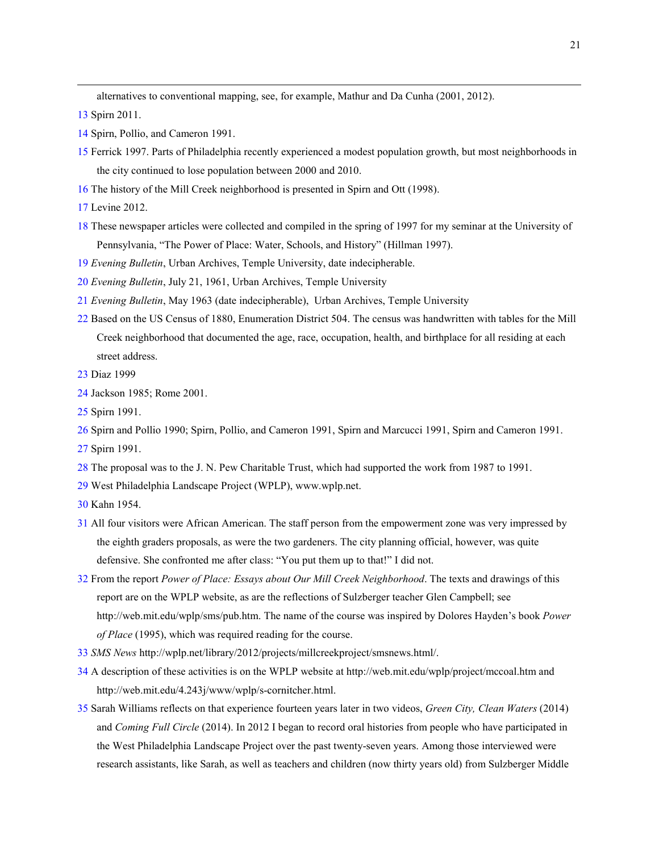alternatives to conventional mapping, see, for example, Mathur and Da Cunha (2001, 2012).

<span id="page-20-0"></span>Spirn 2011.

 $\overline{a}$ 

- <span id="page-20-1"></span>Spirn, Pollio, and Cameron 1991.
- <span id="page-20-2"></span> Ferrick 1997. Parts of Philadelphia recently experienced a modest population growth, but most neighborhoods in the city continued to lose population between 2000 and 2010.
- <span id="page-20-3"></span>The history of the Mill Creek neighborhood is presented in Spirn and Ott (1998).
- <span id="page-20-4"></span>Levine 2012.
- <span id="page-20-5"></span> These newspaper articles were collected and compiled in the spring of 1997 for my seminar at the University of Pennsylvania, "The Power of Place: Water, Schools, and History" (Hillman 1997).
- <span id="page-20-6"></span>*Evening Bulletin*, Urban Archives, Temple University, date indecipherable.
- <span id="page-20-7"></span>*Evening Bulletin*, July 21, 1961, Urban Archives, Temple University
- <span id="page-20-8"></span>*Evening Bulletin*, May 1963 (date indecipherable), Urban Archives, Temple University
- <span id="page-20-9"></span> Based on the US Census of 1880, Enumeration District 504. The census was handwritten with tables for the Mill Creek neighborhood that documented the age, race, occupation, health, and birthplace for all residing at each street address.
- <span id="page-20-10"></span>Diaz 1999
- <span id="page-20-11"></span>Jackson 1985; Rome 2001.
- <span id="page-20-12"></span>Spirn 1991.
- <span id="page-20-13"></span>Spirn and Pollio 1990; Spirn, Pollio, and Cameron 1991, Spirn and Marcucci 1991, Spirn and Cameron 1991.
- <span id="page-20-14"></span>Spirn 1991.
- <span id="page-20-15"></span>The proposal was to the J. N. Pew Charitable Trust, which had supported the work from 1987 to 1991.
- <span id="page-20-16"></span>West Philadelphia Landscape Project (WPLP), www.wplp.net.
- <span id="page-20-17"></span>Kahn 1954.
- <span id="page-20-18"></span> All four visitors were African American. The staff person from the empowerment zone was very impressed by the eighth graders proposals, as were the two gardeners. The city planning official, however, was quite defensive. She confronted me after class: "You put them up to that!" I did not.
- <span id="page-20-19"></span> From the report *Power of Place: Essays about Our Mill Creek Neighborhood*. The texts and drawings of this report are on the WPLP website, as are the reflections of Sulzberger teacher Glen Campbell; see http://web.mit.edu/wplp/sms/pub.htm. The name of the course was inspired by Dolores Hayden's book *Power of Place* (1995), which was required reading for the course.
- <span id="page-20-20"></span>*SMS News* http://wplp.net/library/2012/projects/millcreekproject/smsnews.html/.
- <span id="page-20-21"></span> A description of these activities is on the WPLP website at http://web.mit.edu/wplp/project/mccoal.htm and http://web.mit.edu/4.243j/www/wplp/s-cornitcher.html.
- <span id="page-20-22"></span> Sarah Williams reflects on that experience fourteen years later in two videos, *Green City, Clean Waters* (2014) and *Coming Full Circle* (2014). In 2012 I began to record oral histories from people who have participated in the West Philadelphia Landscape Project over the past twenty-seven years. Among those interviewed were research assistants, like Sarah, as well as teachers and children (now thirty years old) from Sulzberger Middle